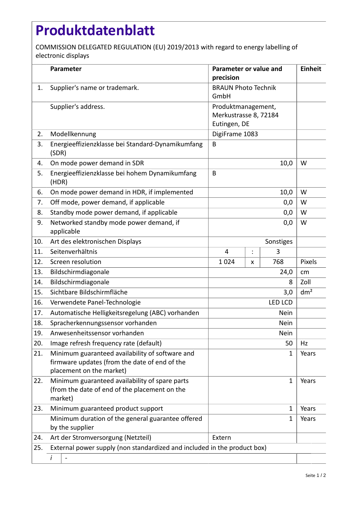## **Produktdatenblatt**

COMMISSION DELEGATED REGULATION (EU) 2019/2013 with regard to energy labelling of electronic displays

|     | Parameter                                                                                                                    | Parameter or value and<br>precision                         |                 |     | <b>Einheit</b> |  |
|-----|------------------------------------------------------------------------------------------------------------------------------|-------------------------------------------------------------|-----------------|-----|----------------|--|
| 1.  | Supplier's name or trademark.                                                                                                | <b>BRAUN Photo Technik</b><br>GmbH                          |                 |     |                |  |
|     | Supplier's address.                                                                                                          | Produktmanagement,<br>Merkustrasse 8, 72184<br>Eutingen, DE |                 |     |                |  |
| 2.  | Modellkennung                                                                                                                | DigiFrame 1083                                              |                 |     |                |  |
| 3.  | Energieeffizienzklasse bei Standard-Dynamikumfang<br>(SDR)                                                                   | B                                                           |                 |     |                |  |
| 4.  | On mode power demand in SDR                                                                                                  |                                                             | W               |     |                |  |
| 5.  | Energieeffizienzklasse bei hohem Dynamikumfang<br>(HDR)                                                                      | B                                                           |                 |     |                |  |
| 6.  | On mode power demand in HDR, if implemented                                                                                  |                                                             | W               |     |                |  |
| 7.  | Off mode, power demand, if applicable                                                                                        | 0,0                                                         |                 |     | W              |  |
| 8.  | Standby mode power demand, if applicable                                                                                     |                                                             | W               |     |                |  |
| 9.  | Networked standby mode power demand, if<br>applicable                                                                        | 0,0                                                         |                 |     | W              |  |
| 10. | Art des elektronischen Displays                                                                                              | Sonstiges                                                   |                 |     |                |  |
| 11. | Seitenverhältnis                                                                                                             | 4                                                           | $\ddot{\cdot}$  | 3   |                |  |
| 12. | Screen resolution                                                                                                            | 1024                                                        | x               | 768 | Pixels         |  |
| 13. | Bildschirmdiagonale                                                                                                          | 24,0                                                        |                 |     | cm             |  |
| 14. | Bildschirmdiagonale                                                                                                          | 8                                                           |                 |     | Zoll           |  |
| 15. | Sichtbare Bildschirmfläche                                                                                                   |                                                             | dm <sup>2</sup> |     |                |  |
| 16. | Verwendete Panel-Technologie                                                                                                 |                                                             |                 |     |                |  |
| 17. | Automatische Helligkeitsregelung (ABC) vorhanden                                                                             |                                                             |                 |     |                |  |
| 18. | Spracherkennungssensor vorhanden                                                                                             |                                                             |                 |     |                |  |
| 19. | Anwesenheitssensor vorhanden                                                                                                 |                                                             |                 |     |                |  |
| 20. | Image refresh frequency rate (default)                                                                                       |                                                             | Hz              |     |                |  |
| 21. | Minimum guaranteed availability of software and<br>firmware updates (from the date of end of the<br>placement on the market) | 1                                                           |                 |     | Years          |  |
| 22. | Minimum guaranteed availability of spare parts<br>(from the date of end of the placement on the<br>market)                   | 1                                                           |                 |     | Years          |  |
| 23. | Minimum guaranteed product support                                                                                           |                                                             | Years           |     |                |  |
|     | Minimum duration of the general guarantee offered<br>by the supplier                                                         |                                                             | Years           |     |                |  |
| 24. | Art der Stromversorgung (Netzteil)                                                                                           | Extern                                                      |                 |     |                |  |
| 25. | External power supply (non standardized and included in the product box)                                                     |                                                             |                 |     |                |  |
|     | i                                                                                                                            |                                                             |                 |     |                |  |